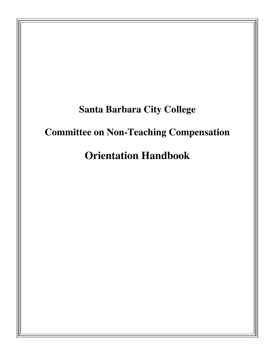# **Santa Barbara City College**

# **Committee on Non-Teaching Compensation**

# **Orientation Handbook**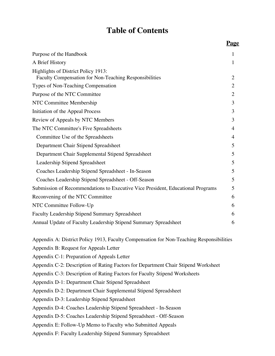## **Table of Contents**

| Purpose of the Handbook                                                                       | 1              |
|-----------------------------------------------------------------------------------------------|----------------|
| A Brief History                                                                               | $\mathbf{1}$   |
| Highlights of District Policy 1913:<br>Faculty Compensation for Non-Teaching Responsibilities | $\overline{2}$ |
| Types of Non-Teaching Compensation                                                            | $\overline{2}$ |
| Purpose of the NTC Committee                                                                  | $\overline{2}$ |
| NTC Committee Membership                                                                      | 3              |
| Initiation of the Appeal Process                                                              | 3              |
| Review of Appeals by NTC Members                                                              | 3              |
| The NTC Committee's Five Spreadsheets                                                         | $\overline{4}$ |
| Committee Use of the Spreadsheets                                                             | $\overline{4}$ |
| Department Chair Stipend Spreadsheet                                                          | 5              |
| Department Chair Supplemental Stipend Spreadsheet                                             | 5              |
| Leadership Stipend Spreadsheet                                                                | 5              |
| Coaches Leadership Stipend Spreadsheet - In-Season                                            | 5              |
| Coaches Leadership Stipend Spreadsheet - Off-Season                                           | 5              |
| Submission of Recommendations to Executive Vice President, Educational Programs               | 5              |
| Reconvening of the NTC Committee                                                              | 6              |
| NTC Committee Follow-Up                                                                       | 6              |
| <b>Faculty Leadership Stipend Summary Spreadsheet</b>                                         | 6              |
| Annual Update of Faculty Leadership Stipend Summary Spreadsheet                               | 6              |

Appendix A: District Policy 1913, Faculty Compensation for Non-Teaching Responsibilities Appendix B: Request for Appeals Letter Appendix C-1: Preparation of Appeals Letter Appendix C-2: Description of Rating Factors for Department Chair Stipend Worksheet Appendix C-3: Description of Rating Factors for Faculty Stipend Worksheets Appendix D-1: Department Chair Stipend Spreadsheet Appendix D-2: Department Chair Supplemental Stipend Spreadsheet Appendix D-3: Leadership Stipend Spreadsheet Appendix D-4: Coaches Leadership Stipend Spreadsheet - In-Season Appendix D-5: Coaches Leadership Stipend Spreadsheet - Off-Season Appendix E: Follow-Up Memo to Faculty who Submitted Appeals Appendix F: Faculty Leadership Stipend Summary Spreadsheet

#### **Page**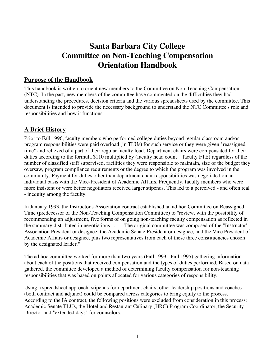## **Santa Barbara City College Committee on Non-Teaching Compensation Orientation Handbook**

#### **Purpose of the Handbook**

This handbook is written to orient new members to the Committee on Non-Teaching Compensation (NTC). In the past, new members of the committee have commented on the difficulties they had understanding the procedures, decision criteria and the various spreadsheets used by the committee. This document is intended to provide the necessary background to understand the NTC Committee's role and responsibilities and how it functions.

### **A Brief History**

Prior to Fall 1996, faculty members who performed college duties beyond regular classroom and/or program responsibilities were paid overload (in TLUs) for such service or they were given "reassigned time" and relieved of a part of their regular faculty load. Department chairs were compensated for their duties according to the formula \$110 multiplied by (faculty head count + faculty FTE) regardless of the number of classified staff supervised, facilities they were responsible to maintain, size of the budget they oversaw, program compliance requirements or the degree to which the program was involved in the community. Payment for duties other than department chair responsibilities was negotiated on an individual basis with the Vice-President of Academic Affairs. Frequently, faculty members who were more insistent or were better negotiators received larger stipends. This led to a perceived - and often real - inequity among the faculty.

In January 1993, the Instructor's Association contract established an ad hoc Committee on Reassigned Time (predecessor of the Non-Teaching Compensation Committee) to "review, with the possibility of recommending an adjustment, five forms of on going non-teaching faculty compensation as reflected in the summary distributed in negotiations . . . ". The original committee was composed of the "Instructor' Association President or designee, the Academic Senate President or designee, and the Vice President of Academic Affairs or designee, plus two representatives from each of these three constituencies chosen by the designated leader."

The ad hoc committee worked for more than two years (Fall 1993 - Fall 1995) gathering information about each of the positions that received compensation and the types of duties performed. Based on data gathered, the committee developed a method of determining faculty compensation for non-teaching responsibilities that was based on points allocated for various categories of responsibility.

Using a spreadsheet approach, stipends for department chairs, other leadership positions and coaches (both contract and adjunct) could be compared across categories to bring equity to the process. According to the IA contract, the following positions were excluded from consideration in this process: Academic Senate TLUs, the Hotel and Restaurant Culinary (HRC) Program Coordinator, the Security Director and "extended days" for counselors.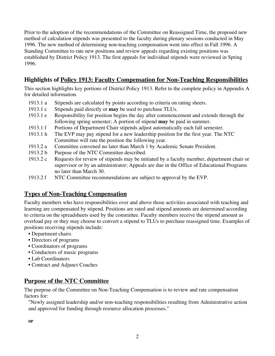Prior to the adoption of the recommendations of the Committee on Reassigned Time, the proposed new method of calculation stipends was presented to the faculty during plenary sessions conducted in May 1996. The new method of determining non-teaching compensation went into effect in Fall 1996. A Standing Committee to rate new positions and review appeals regarding existing positions was established by District Policy 1913. The first appeals for individual stipends were reviewed in Spring 1996.

#### **Highlights of Policy 1913: Faculty Compensation for Non-Teaching Responsibilities**

This section highlights key portions of District Policy 1913. Refer to the complete policy in Appendix A for detailed information.

- 1913.1 a Stipends are calculated by points according to criteria on rating sheets.
- 1913.1 c Stipends paid directly or **may** be used to purchase TLUs.
- 1913.1 e Responsibility for position begins the day after commencement and extends through the following spring semester; A portion of stipend **may** be paid in summer.
- 1913.1 f Portions of Department Chair stipends adjust automatically each fall semester.
- 1913.1 h The EVP may pay stipend for a new leadership position for the first year. The NTC Committee will rate the position the following year.
- 1913.2 a Committee convened no later than March 1 by Academic Senate President.
- 1913.2 b Purpose of the NTC Committee described.
- 1913.2 c Requests for review of stipends may be initiated by a faculty member, department chair or supervisor or by an administrator; Appeals are due in the Office of Educational Programs no later than March 30.
- 1913.2 f NTC Committee recommendations are subject to approval by the EVP.

#### **Types of Non-Teaching Compensation**

Faculty members who have responsibilities over and above those activities associated with teaching and learning are compensated by stipend. Positions are rated and stipend amounts are determined according to criteria on the spreadsheets used by the committee. Faculty members receive the stipend amount as overload pay or they may choose to convert a stipend to TLUs to purchase reassigned time. Examples of positions receiving stipends include:

- Department chairs
- Directors of programs
- Coordinators of programs
- Conductors of music programs
- Lab Coordinators
- Contract and Adjunct Coaches

#### **Purpose of the NTC Committee**

The purpose of the Committee on Non-Teaching Compensation is to review and rate compensation factors for:

"Newly assigned leadership and/or non-teaching responsibilities resulting from Administrative action and approved for funding through resource allocation processes."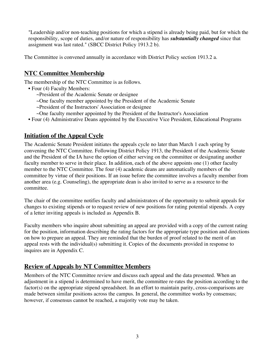"Leadership and/or non-teaching positions for which a stipend is already being paid, but for which the responsibility, scope of duties, and/or nature of responsibility has *substantially changed* since that assignment was last rated." (SBCC District Policy 1913.2 b).

The Committee is convened annually in accordance with District Policy section 1913.2 a.

## **NTC Committee Membership**

The membership of the NTC Committee is as follows.

- Four (4) Faculty Members:
	- ~President of the Academic Senate or designee
	- $\sim$ One faculty member appointed by the President of the Academic Senate
	- ~President of the Instructors' Association or designee
	- $\sim$ One faculty member appointed by the President of the Instructor's Association
- Four (4) Administrative Deans appointed by the Executive Vice President, Educational Programs

#### **Initiation of the Appeal Cycle**

The Academic Senate President initiates the appeals cycle no later than March 1 each spring by convening the NTC Committee. Following District Policy 1913, the President of the Academic Senate and the President of the IA have the option of either serving on the committee or designating another faculty member to serve in their place. In addition, each of the above appoints one (1) other faculty member to the NTC Committee. The four (4) academic deans are automatically members of the committee by virtue of their positions. If an issue before the committee involves a faculty member from another area (e.g. Counseling), the appropriate dean is also invited to serve as a resource to the committee.

The chair of the committee notifies faculty and administrators of the opportunity to submit appeals for changes to existing stipends or to request review of new positions for rating potential stipends. A copy of a letter inviting appeals is included as Appendix B.

Faculty members who inquire about submitting an appeal are provided with a copy of the current rating for the position, information describing the rating factors for the appropriate type position and directions on how to prepare an appeal. They are reminded that the burden of proof related to the merit of an appeal rests with the individual(s) submitting it. Copies of the documents provided in response to inquires are in Appendix C.

## **Review of Appeals by NT Committee Members**

Members of the NTC Committee review and discuss each appeal and the data presented. When an adjustment in a stipend is determined to have merit, the committee re-rates the position according to the factor(s) on the appropriate stipend spreadsheet. In an effort to maintain parity, cross-comparisons are made between similar positions across the campus. In general, the committee works by consensus; however, if consensus cannot be reached, a majority vote may be taken.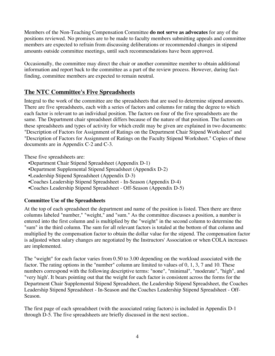Members of the Non-Teaching Compensation Committee **do not serve as advocates** for any of the positions reviewed. No promises are to be made to faculty members submitting appeals and committee members are expected to refrain from discussing deliberations or recommended changes in stipend amounts outside committee meetings, until such recommendations have been approved.

Occasionally, the committee may direct the chair or another committee member to obtain additional information and report back to the committee as a part of the review process. However, during factfinding, committee members are expected to remain neutral.

## **The NTC Committee's Five Spreadsheets**

Integral to the work of the committee are the spreadsheets that are used to determine stipend amounts. There are five spreadsheets, each with a series of factors and columns for rating the degree to which each factor is relevant to an individual position. The factors on four of the five spreadsheets are the same. The Department chair spreadsheet differs because of the nature of that position. The factors on these spreadsheets and types of activity for which credit may be given are explained in two documents: "Description of Factors for Assignment of Ratings on the Department Chair Stipend Worksheet" and "Description of Factors for Assignment of Ratings on the Faculty Stipend Worksheet." Copies of these documents are in Appendix C-2 and C-3.

These five spreadsheets are:

- •Department Chair Stipend Spreadsheet (Appendix D-1)
- •Department Supplemental Stipend Spreadsheet (Appendix D-2)
- •Leadership Stipend Spreadsheet (Appendix D-3)
- •Coaches Leadership Stipend Spreadsheet In-Season (Appendix D-4)
- •Coaches Leadership Stipend Spreadsheet Off-Season (Appendix D-5)

#### **Committee Use of the Spreadsheets**

At the top of each spreadsheet the department and name of the position is listed. Then there are three columns labeled "number," "weight," and "sum." As the committee discusses a position, a number is entered into the first column and is multiplied by the "weight" in the second column to determine the "sum" in the third column. The sum for all relevant factors is totaled at the bottom of that column and multiplied by the compensation factor to obtain the dollar value for the stipend. The compensation factor is adjusted when salary changes are negotiated by the Instructors' Association or when COLA increases are implemented.

The "weight" for each factor varies from 0.50 to 3.00 depending on the workload associated with the factor. The rating options in the "number" column are limited to values of 0, 1, 3, 7 and 10. These numbers correspond with the following descriptive terms: "none", "minimal", "moderate", "high", and "very high'. It bears pointing out that the weight for each factor is consistent across the forms for the Department Chair Supplemental Stipend Spreadsheet, the Leadership Stipend Spreadsheet, the Coaches Leadership Stipend Spreadsheet - In-Season and the Coaches Leadership Stipend Spreadsheet - Off-Season.

The first page of each spreadsheet (with the associated rating factors) is included in Appendix D-1 through D-5. The five spreadsheets are briefly discussed in the next section..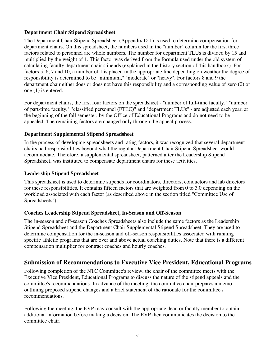#### **Department Chair Stipend Spreadsheet**

The Department Chair Stipend Spreadsheet (Appendix D-1) is used to determine compensation for department chairs. On this spreadsheet, the numbers used in the "number" column for the first three factors related to personnel are whole numbers. The number for department TLUs is divided by 15 and multiplied by the weight of 1. This factor was derived from the formula used under the old system of calculating faculty department chair stipends (explained in the history section of this handbook). For factors 5, 6, 7 and 10, a number of 1 is placed in the appropriate line depending on weather the degree of responsibility is determined to be "minimum," "moderate" or "heavy". For factors 8 and 9 the department chair either does or does not have this responsibility and a corresponding value of zero (0) or one (1) is entered.

For department chairs, the first four factors on the spreadsheet - "number of full-time faculty," "number of part-time faculty," "classified personnel (FTEC)" and "department TLUs" - are adjusted each year, at the beginning of the fall semester, by the Office of Educational Programs and do not need to be appealed. The remaining factors are changed only through the appeal process.

#### **Department Supplemental Stipend Spreadsheet**

In the process of developing spreadsheets and rating factors, it was recognized that several department chairs had responsibilities beyond what the regular Department Chair Stipend Spreadsheet would accommodate. Therefore, a supplemental spreadsheet, patterned after the Leadership Stipend Spreadsheet, was instituted to compensate department chairs for these activities.

#### **Leadership Stipend Spreadsheet**

This spreadsheet is used to determine stipends for coordinators, directors, conductors and lab directors for these responsibilities. It contains fifteen factors that are weighted from 0 to 3.0 depending on the workload associated with each factor (as described above in the section titled "Committee Use of Spreadsheets").

#### **Coaches Leadership Stipend Spreadsheet, In-Season and Off-Season**

The in-season and off-season Coaches Spreadsheets also include the same factors as the Leadership Stipend Spreadsheet and the Department Chair Supplemental Stipend Spreadsheet. They are used to determine compensation for the in-season and off-season responsibilities associated with running specific athletic programs that are over and above actual coaching duties. Note that there is a different compensation multiplier for contract coaches and hourly coaches.

#### **Submission of Recommendations to Executive Vice President, Educational Programs**

Following completion of the NTC Committee's review, the chair of the committee meets with the Executive Vice President, Educational Programs to discuss the nature of the stipend appeals and the committee's recommendations. In advance of the meeting, the committee chair prepares a memo outlining proposed stipend changes and a brief statement of the rationale for the committee's recommendations.

Following the meeting, the EVP may consult with the appropriate dean or faculty member to obtain additional information before making a decision. The EVP then communicates the decision to the committee chair.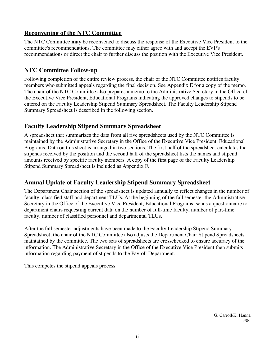### **Reconvening of the NTC Committee**

The NTC Committee **may** be reconvened to discuss the response of the Executive Vice President to the committee's recommendations. The committee may either agree with and accept the EVP's recommendations or direct the chair to further discuss the position with the Executive Vice President.

#### **NTC Committee Follow-up**

Following completion of the entire review process, the chair of the NTC Committee notifies faculty members who submitted appeals regarding the final decision. See Appendix E for a copy of the memo. The chair of the NTC Committee also prepares a memo to the Administrative Secretary in the Office of the Executive Vice President, Educational Programs indicating the approved changes to stipends to be entered on the Faculty Leadership Stipend Summary Spreadsheet. The Faculty Leadership Stipend Summary Spreadsheet is described in the following section.

#### **Faculty Leadership Stipend Summary Spreadsheet**

A spreadsheet that summarizes the data from all five spreadsheets used by the NTC Committee is maintained by the Administrative Secretary in the Office of the Executive Vice President, Educational Programs. Data on this sheet is arranged in two sections. The first half of the spreadsheet calculates the stipends received by the position and the second half of the spreadsheet lists the names and stipend amounts received by specific faculty members. A copy of the first page of the Faculty Leadership Stipend Summary Spreadsheet is included as Appendix F.

#### **Annual Update of Faculty Leadership Stipend Summary Spreadsheet**

The Department Chair section of the spreadsheet is updated annually to reflect changes in the number of faculty, classified staff and department TLUs. At the beginning of the fall semester the Administrative Secretary in the Office of the Executive Vice President, Educational Programs, sends a questionnaire to department chairs requesting current data on the number of full-time faculty, number of part-time faculty, number of classified personnel and departmental TLUs.

After the fall semester adjustments have been made to the Faculty Leadership Stipend Summary Spreadsheet, the chair of the NTC Committee also adjusts the Department Chair Stipend Spreadsheets maintained by the committee. The two sets of spreadsheets are crosschecked to ensure accuracy of the information. The Administrative Secretary in the Office of the Executive Vice President then submits information regarding payment of stipends to the Payroll Department.

This competes the stipend appeals process.

G. Carroll/K. Hanna 3/06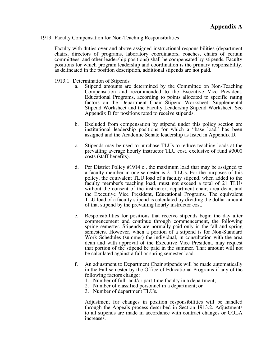#### 1913 Faculty Compensation for Non-Teaching Responsibilities

Faculty with duties over and above assigned instructional responsibilities (department chairs, directors of programs, laboratory coordinators, coaches, chairs of certain committees, and other leadership positions) shall be compensated by stipends. Faculty positions for which program leadership and coordination is the primary responsibility, as delineated in the position description, additional stipends are not paid.

#### 1913.1 Determination of Stipends

- a. Stipend amounts are determined by the Committee on Non-Teaching Compensation and recommended to the Executive Vice President, Educational Programs, according to points allocated to specific rating factors on the Department Chair Stipend Worksheet, Supplemental Stipend Worksheet and the Faculty Leadership Stipend Worksheet. See Appendix D for positions rated to receive stipends.
- b. Excluded from compensation by stipend under this policy section are institutional leadership positions for which a "base load" has been assigned and the Academic Senate leadership as listed in Appendix D.
- c. Stipends may be used to purchase TLUs to reduce teaching loads at the prevailing average hourly instructor TLU cost, exclusive of fund #3000 costs (staff benefits).
- d. Per District Policy #1914 c., the maximum load that may be assigned to a faculty member in one semester is 21 TLUs. For the purposes of this policy, the equivalent TLU load of a faculty stipend, when added to the faculty member's teaching load, must not exceed a total of 21 TLUs without the consent of the instructor, department chair, area dean, and the Executive Vice President, Educational Programs. The equivalent TLU load of a faculty stipend is calculated by dividing the dollar amount of that stipend by the prevailing hourly instructor cost.
- e. Responsibilities for positions that receive stipends begin the day after commencement and continue through commencement, the following spring semester. Stipends are normally paid only in the fall and spring semesters. However, when a portion of a stipend is for Non-Standard Work Schedules (summer) the individual, in consultation with the area dean and with approval of the Executive Vice President, may request that portion of the stipend be paid in the summer. That amount will not be calculated against a fall or spring semester load.
- f. An adjustment to Department Chair stipends will be made automatically in the Fall semester by the Office of Educational Programs if any of the following factors change:
	- 1. Number of full- and/or part-time faculty in a department;
	- 2. Number of classified personnel in a department; or
	- 3. Number of department TLUs.

Adjustment for changes in position responsibilities will be handled through the Appeals process described in Section 1913.2. Adjustments to all stipends are made in accordance with contract changes or COLA increases.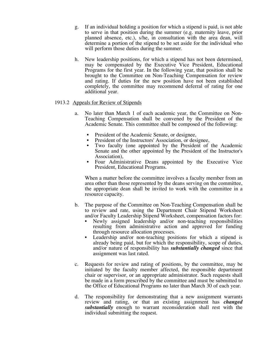- g. If an individual holding a position for which a stipend is paid, is not able to serve in that position during the summer (e.g. maternity leave, prior planned absence, etc.), s/he, in consultation with the area dean, will determine a portion of the stipend to be set aside for the individual who will perform those duties during the summer.
- h. New leadership positions, for which a stipend has not been determined, may be compensated by the Executive Vice President, Educational Programs for the first year. In the following year, that position shall be brought to the Committee on Non-Teaching Compensation for review and rating. If duties for the new position have not been established completely, the committee may recommend deferral of rating for one additional year.

#### 1913.2 Appeals for Review of Stipends

- a. No later than March 1 of each academic year, the Committee on Non-Teaching Compensation shall be convened by the President of the Academic Senate. This committee shall be composed of the following:
	- President of the Academic Senate, or designee,
	- President of the Instructors' Association, or designee,<br>• Two faculty (one appointed by the President of
	- Two faculty (one appointed by the President of the Academic Senate and the other appointed by the President of the Instructor's Association),
	- Four Administrative Deans appointed by the Executive Vice President, Educational Programs.

When a matter before the committee involves a faculty member from an area other than those represented by the deans serving on the committee, the appropriate dean shall be invited to work with the committee in a resource capacity.

- b. The purpose of the Committee on Non-Teaching Compensation shall be to review and rate, using the Department Chair Stipend Worksheet and/or Faculty Leadership Stipend Worksheet, compensation factors for:
	- Newly assigned leadership and/or non-teaching responsibilities resulting from administrative action and approved for funding through resource allocation processes.
	- Leadership and/or non-teaching positions for which a stipend is already being paid, but for which the responsibility, scope of duties, and/or nature of responsibility has *substantially changed* since that assignment was last rated.
- c. Requests for review and rating of positions, by the committee, may be initiated by the faculty member affected, the responsible department chair or supervisor, or an appropriate administrator. Such requests shall be made in a form prescribed by the committee and must be submitted to the Office of Educational Programs no later than March 30 of each year.
- d. The responsibility for demonstrating that a new assignment warrants review and rating, or that an existing assignment has *changed substantially* enough to warrant reconsideration shall rest with the individual submitting the request.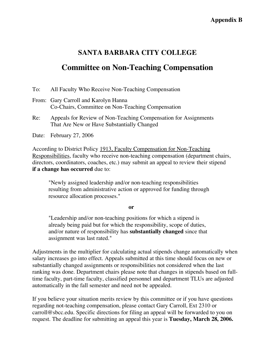## **SANTA BARBARA CITY COLLEGE**

## **Committee on Non-Teaching Compensation**

To: All Faculty Who Receive Non-Teaching Compensation

- From: Gary Carroll and Karolyn Hanna Co-Chairs, Committee on Non-Teaching Compensation
- Re: Appeals for Review of Non-Teaching Compensation for Assignments That Are New or Have Substantially Changed

Date: February 27, 2006

According to District Policy 1913, Faculty Compensation for Non-Teaching Responsibilities, faculty who receive non-teaching compensation (department chairs, directors, coordinators, coaches, etc.) may submit an appeal to review their stipend **if a change has occurred** due to:

"Newly assigned leadership and/or non-teaching responsibilities resulting from administrative action or approved for funding through resource allocation processes."

**or**

"Leadership and/or non-teaching positions for which a stipend is already being paid but for which the responsibility, scope of duties, and/or nature of responsibility has **substantially changed** since that assignment was last rated."

Adjustments in the multiplier for calculating actual stipends change automatically when salary increases go into effect. Appeals submitted at this time should focus on new or substantially changed assignments or responsibilities not considered when the last ranking was done. Department chairs please note that changes in stipends based on fulltime faculty, part-time faculty, classified personnel and department TLUs are adjusted automatically in the fall semester and need not be appealed.

If you believe your situation merits review by this committee or if you have questions regarding not-teaching compensation, please contact Gary Carroll, Ext 2310 or carroll@sbcc.edu. Specific directions for filing an appeal will be forwarded to you on request. The deadline for submitting an appeal this year is **Tuesday, March 28, 2006.**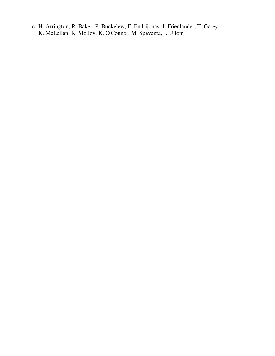c: H. Arrington, R. Baker, P. Buckelew, E. Endrijonas, J. Friedlander, T. Garey, K. McLellan, K. Molloy, K. O'Connor, M. Spaventa, J. Ullom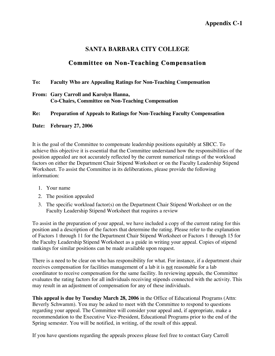### **SANTA BARBARA CITY COLLEGE**

### **Committee on Non-Teaching Compensation**

**To: Faculty Who are Appealing Ratings for Non-Teaching Compensation From: Gary Carroll and Karolyn Hanna, Co-Chairs, Committee on Non-Teaching Compensation Re: Preparation of Appeals to Ratings for Non-Teaching Faculty Compensation**

**Date: February 27, 2006**

It is the goal of the Committee to compensate leadership positions equitably at SBCC. To achieve this objective it is essential that the Committee understand how the responsibilities of the position appealed are not accurately reflected by the current numerical ratings of the workload factors on either the Department Chair Stipend Worksheet or on the Faculty Leadership Stipend Worksheet. To assist the Committee in its deliberations, please provide the following information:

- 1. Your name
- 2. The position appealed
- 3. The specific workload factor(s) on the Department Chair Stipend Worksheet or on the Faculty Leadership Stipend Worksheet that requires a review

To assist in the preparation of your appeal, we have included a copy of the current rating for this position and a description of the factors that determine the rating. Please refer to the explanation of Factors 1 through 11 for the Department Chair Stipend Worksheet or Factors 1 through 15 for the Faculty Leadership Stipend Worksheet as a guide in writing your appeal. Copies of stipend rankings for similar positions can be made available upon request.

There is a need to be clear on who has responsibility for what. For instance, if a department chair receives compensation for facilities management of a lab it is not reasonable for a lab coordinator to receive compensation for the same facility. In reviewing appeals, the Committee evaluates the rating factors for all individuals receiving stipends connected with the activity. This may result in an adjustment of compensation for any of these individuals.

**This appeal is due by Tuesday March 28, 2006** in the Office of Educational Programs (Attn: Beverly Schwamm). You may be asked to meet with the Committee to respond to questions regarding your appeal. The Committee will consider your appeal and, if appropriate, make a recommendation to the Executive Vice-President, Educational Programs prior to the end of the Spring semester. You will be notified, in writing, of the result of this appeal.

If you have questions regarding the appeals process please feel free to contact Gary Carroll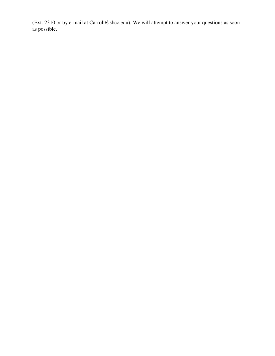(Ext. 2310 or by e-mail at Carroll@sbcc.edu). We will attempt to answer your questions as soon as possible.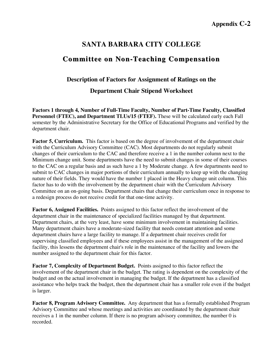# **SANTA BARBARA CITY COLLEGE Committee on Non-Teaching Compensation**

## **Description of Factors for Assignment of Ratings on the**

**Department Chair Stipend Worksheet**

**Factors 1 through 4, Number of Full-Time Faculty, Number of Part-Time Faculty, Classified Personnel (FTEC), and Department TLUs/15 (FTEF).** These will be calculated early each Fall semester by the Administrative Secretary for the Office of Educational Programs and verified by the department chair.

**Factor 5, Curriculum.** This factor is based on the degree of involvement of the department chair with the Curriculum Advisory Committee (CAC). Most departments do not regularly submit changes of their curriculum to the CAC and therefore receive a 1 in the number column next to the Minimum change unit. Some departments have the need to submit changes in some of their courses to the CAC on a regular basis and as such have a 1 by Moderate change. A few departments need to submit to CAC changes in major portions of their curriculum annually to keep up with the changing nature of their fields. They would have the number 1 placed in the Heavy change unit column. This factor has to do with the involvement by the department chair with the Curriculum Advisory Committee on an on-going basis. Department chairs that change their curriculum once in response to a redesign process do not receive credit for that one-time activity.

**Factor 6, Assigned Facilities.** Points assigned to this factor reflect the involvement of the department chair in the maintenance of specialized facilities managed by that department. Department chairs, at the very least, have some minimum involvement in maintaining facilities. Many department chairs have a moderate-sized facility that needs constant attention and some department chairs have a large facility to manage. If a department chair receives credit for supervising classified employees and if these employees assist in the management of the assigned facility, this lessens the department chair's role in the maintenance of the facility and lowers the number assigned to the department chair for this factor.

**Factor 7, Complexity of Department Budget.** Points assigned to this factor reflect the involvement of the department chair in the budget. The rating is dependent on the complexity of the budget and on the actual involvement in managing the budget. If the department has a classified assistance who helps track the budget, then the department chair has a smaller role even if the budget is larger.

**Factor 8, Program Advisory Committee.** Any department that has a formally established Program Advisory Committee and whose meetings and activities are coordinated by the department chair receives a 1 in the number column. If there is no program advisory committee, the number 0 is recorded.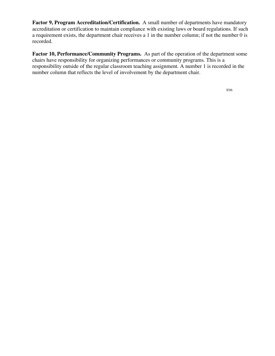**Factor 9, Program Accreditation/Certification.** A small number of departments have mandatory accreditation or certification to maintain compliance with existing laws or board regulations. If such a requirement exists, the department chair receives a 1 in the number column; if not the number 0 is recorded.

**Factor 10, Performance/Community Programs.** As part of the operation of the department some chairs have responsibility for organizing performances or community programs. This is a responsibility outside of the regular classroom teaching assignment. A number 1 is recorded in the number column that reflects the level of involvement by the department chair.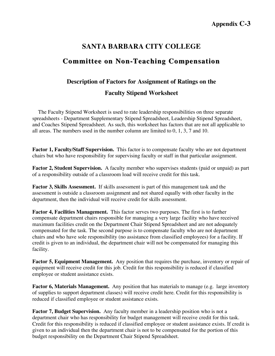# **SANTA BARBARA CITY COLLEGE**

## **Committee on Non-Teaching Compensation**

#### **Description of Factors for Assignment of Ratings on the**

#### **Faculty Stipend Worksheet**

The Faculty Stipend Worksheet is used to rate leadership responsibilities on three separate spreadsheets - Department Supplementary Stipend Spreadsheet, Leadership Stipend Spreadsheet, and Coaches Stipend Spreadsheet. As such, this worksheet has factors that are not all applicable to all areas. The numbers used in the number column are limited to 0, 1, 3, 7 and 10.

**Factor 1, Faculty/Staff Supervision.** This factor is to compensate faculty who are not department chairs but who have responsibility for supervising faculty or staff in that particular assignment.

**Factor 2, Student Supervision.** A faculty member who supervises students (paid or unpaid) as part of a responsibility outside of a classroom load will receive credit for this task.

**Factor 3, Skills Assessment.** If skills assessment is part of this management task and the assessment is outside a classroom assignment and not shared equally with other faculty in the department, then the individual will receive credit for skills assessment.

**Factor 4, Facilities Management.** This factor serves two purposes. The first is to further compensate department chairs responsible for managing a very large facility who have received maximum facilities credit on the Department Chair Stipend Spreadsheet and are not adequately compensated for the task. The second purpose is to compensate faculty who are not department chairs and who have sole responsibility (no assistance from classified employees) for a facility. If credit is given to an individual, the department chair will not be compensated for managing this facility.

**Factor 5, Equipment Management.** Any position that requires the purchase, inventory or repair of equipment will receive credit for this job. Credit for this responsibility is reduced if classified employee or student assistance exists.

**Factor 6, Materials Management.** Any position that has materials to manage (e.g. large inventory of supplies to support department classes) will receive credit here. Credit for this responsibility is reduced if classified employee or student assistance exists.

**Factor 7, Budget Supervision.** Any faculty member in a leadership position who is not a department chair who has responsibility for budget management will receive credit for this task. Credit for this responsibility is reduced if classified employee or student assistance exists. If credit is given to an individual then the department chair is not to be compensated for the portion of this budget responsibility on the Department Chair Stipend Spreadsheet.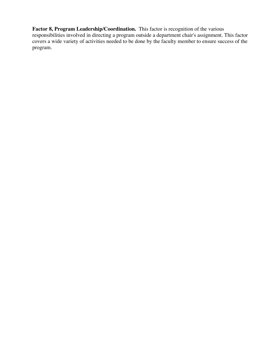**Factor 8, Program Leadership/Coordination.** This factor is recognition of the various responsibilities involved in directing a program outside a department chair's assignment. This factor covers a wide variety of activities needed to be done by the faculty member to ensure success of the program.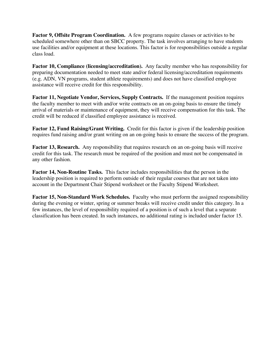**Factor 9, Offsite Program Coordination.** A few programs require classes or activities to be scheduled somewhere other than on SBCC property. The task involves arranging to have students use facilities and/or equipment at these locations. This factor is for responsibilities outside a regular class load.

**Factor 10, Compliance (licensing/accreditation).** Any faculty member who has responsibility for preparing documentation needed to meet state and/or federal licensing/accreditation requirements (e.g. ADN, VN programs, student athlete requirements) and does not have classified employee assistance will receive credit for this responsibility.

**Factor 11, Negotiate Vendor, Services, Supply Contracts.** If the management position requires the faculty member to meet with and/or write contracts on an on-going basis to ensure the timely arrival of materials or maintenance of equipment, they will receive compensation for this task. The credit will be reduced if classified employee assistance is received.

**Factor 12, Fund Raising/Grant Writing.** Credit for this factor is given if the leadership position requires fund raising and/or grant writing on an on-going basis to ensure the success of the program.

**Factor 13, Research.** Any responsibility that requires research on an on-going basis will receive credit for this task. The research must be required of the position and must not be compensated in any other fashion.

**Factor 14, Non-Routine Tasks.** This factor includes responsibilities that the person in the leadership position is required to perform outside of their regular courses that are not taken into account in the Department Chair Stipend worksheet or the Faculty Stipend Worksheet.

**Factor 15, Non-Standard Work Schedules.** Faculty who must perform the assigned responsibility during the evening or winter, spring or summer breaks will receive credit under this category. In a few instances, the level of responsibility required of a position is of such a level that a separate classification has been created. In such instances, no additional rating is included under factor 15.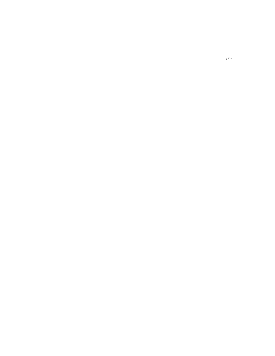S'06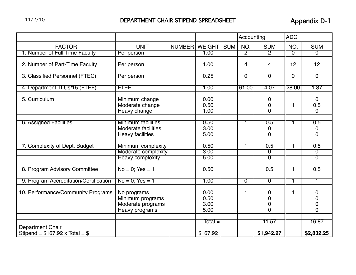# 11/2/10 **DEPARTMENT CHAIR STIPEND SPREADSHEET Appendix D-1**

|                                        |                            |               |               |            | Accounting     |                | <b>ADC</b>      |                 |
|----------------------------------------|----------------------------|---------------|---------------|------------|----------------|----------------|-----------------|-----------------|
| <b>FACTOR</b>                          | <b>UNIT</b>                | <b>NUMBER</b> | <b>WEIGHT</b> | <b>SUM</b> | NO.            | <b>SUM</b>     | NO.             | <b>SUM</b>      |
| 1. Number of Full-Time Faculty         | Per person                 |               | 1.00          |            | $\overline{2}$ | $\overline{2}$ | $\overline{0}$  | $\overline{0}$  |
|                                        |                            |               |               |            |                |                |                 |                 |
| 2. Number of Part-Time Faculty         | Per person                 |               | 1.00          |            | 4              | $\overline{4}$ | $\overline{12}$ | $\overline{12}$ |
|                                        |                            |               |               |            |                |                |                 |                 |
| 3. Classified Personnel (FTEC)         | Per person                 |               | 0.25          |            | $\overline{0}$ | $\overline{0}$ | $\overline{0}$  | $\overline{0}$  |
|                                        | <b>FTEF</b>                |               | 1.00          |            | 61.00          | 4.07           | 28.00           | 1.87            |
| 4. Department TLUs/15 (FTEF)           |                            |               |               |            |                |                |                 |                 |
| 5. Curriculum                          | Minimum change             |               | 0.00          |            | $\overline{1}$ | $\overline{0}$ |                 | $\overline{0}$  |
|                                        | Moderate change            |               | 0.50          |            |                | $\overline{0}$ | ī               | 0.5             |
|                                        | <b>Heavy change</b>        |               | 1.00          |            |                | $\overline{0}$ |                 | $\overline{0}$  |
|                                        |                            |               |               |            |                |                |                 |                 |
| <b>6. Assigned Facilities</b>          | <b>Minimum facilities</b>  |               | 0.50          |            | 1              | 0.5            | ₹               | 0.5             |
|                                        | <b>Moderate facilities</b> |               | 3.00          |            |                | $\overline{0}$ |                 | $\overline{0}$  |
|                                        | <b>Heavy facilities</b>    |               | 5.00          |            |                | $\overline{0}$ |                 | $\overline{0}$  |
|                                        |                            |               |               |            |                |                |                 |                 |
| 7. Complexity of Dept. Budget          | Minimum complexity         |               | 0.50          |            | 1              | 0.5            | ₹               | 0.5             |
|                                        | Moderate complexity        |               | 3.00          |            |                | $\overline{0}$ |                 | $\overline{0}$  |
|                                        | <b>Heavy complexity</b>    |               | 5.00          |            |                | $\overline{0}$ |                 | $\overline{0}$  |
|                                        |                            |               |               |            |                |                |                 |                 |
| 8. Program Advisory Committee          | $No = 0$ ; Yes = 1         |               | 0.50          |            | 1              | 0.5            | 1               | 0.5             |
| 9. Program Accreditation/Certification | $No = 0$ ; Yes = 1         |               | 1.00          |            | $\overline{0}$ | $\overline{0}$ | 1               | 1               |
|                                        |                            |               |               |            |                |                |                 |                 |
| 10. Performance/Community Programs     | No programs                |               | 0.00          |            | 1              | $\overline{0}$ | 1               | $\overline{0}$  |
|                                        | Minimum programs           |               | 0.50          |            |                | $\overline{0}$ |                 | $\overline{0}$  |
|                                        | Moderate programs          |               | 3.00          |            |                | $\overline{0}$ |                 | $\overline{0}$  |
|                                        | <b>Heavy programs</b>      |               | 5.00          |            |                | $\overline{0}$ |                 | $\overline{0}$  |
|                                        |                            |               |               |            |                |                |                 |                 |
|                                        |                            |               | Total $=$     |            |                | 11.57          |                 | 16.87           |
| <b>Department Chair</b>                |                            |               |               |            |                |                |                 |                 |
| Stipend = $$167.92 \times Total = $$   |                            |               | \$167.92      |            |                | \$1,942.27     |                 | \$2,832.25      |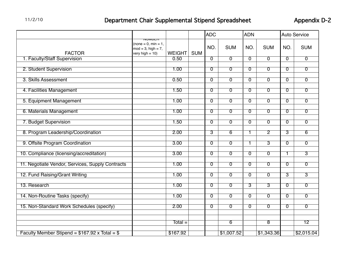# 11/2/10 **Department Chair Supplemental Stipend Spreadsheet** Appendix D-2

|                                                     |                                                                                |               |            | <b>ADC</b>                |                           | <b>ADN</b>     |                           | <b>Auto Service</b>     |                |
|-----------------------------------------------------|--------------------------------------------------------------------------------|---------------|------------|---------------------------|---------------------------|----------------|---------------------------|-------------------------|----------------|
| <b>FACTOR</b>                                       | NUMDER<br>$(none = 0, min = 1,$<br>$mod = 3$ , high = 7,<br>very high $= 10$ ) | <b>WEIGHT</b> | <b>SUM</b> | NO.                       | <b>SUM</b>                | NO.            | <b>SUM</b>                | NO.                     | <b>SUM</b>     |
| 1. Faculty/Staff Supervision                        |                                                                                | 0.50          |            | $\overline{0}$            | $\overline{0}$            | $\overline{0}$ | $\overline{0}$            | $\overline{0}$          | $\overline{0}$ |
| 2. Student Supervision                              |                                                                                | 1.00          |            | $\overline{\mathfrak{o}}$ | $\overline{0}$            | $\overline{0}$ | $\overline{\mathfrak{o}}$ | $\overline{0}$          | $\overline{0}$ |
|                                                     |                                                                                |               |            |                           |                           |                |                           |                         |                |
| 3. Skills Assessment                                |                                                                                | 0.50          |            | $\overline{0}$            | $\overline{0}$            | $\overline{0}$ | $\overline{0}$            | $\overline{0}$          | $\overline{0}$ |
| 4. Facilities Management                            |                                                                                | 1.50          |            | $\overline{0}$            | $\overline{0}$            | $\overline{0}$ | $\overline{0}$            | $\overline{0}$          | $\overline{0}$ |
| 5. Equipment Management                             |                                                                                | 1.00          |            | 0                         | $\overline{\mathfrak{0}}$ | 0              | 0                         | 0                       | $\mathbf 0$    |
| 6. Materials Management                             |                                                                                | 1.00          |            | $\overline{0}$            | $\overline{\mathsf{O}}$   | $\overline{0}$ | $\overline{0}$            | $\overline{\mathsf{O}}$ | $\overline{0}$ |
| 7. Budget Supervision                               |                                                                                | 1.50          |            | $\overline{0}$            | $\overline{0}$            | $\overline{0}$ | $\overline{0}$            | $\Omega$                | $\overline{0}$ |
| 8. Program Leadership/Coordination                  |                                                                                | 2.00          |            | $\overline{3}$            | $\overline{6}$            | 1.             | $\overline{2}$            | 3                       | $\overline{6}$ |
| 9. Offsite Program Coordination                     |                                                                                | 3.00          |            | $\overline{0}$            | $\overline{\mathfrak{0}}$ | 1              | $\overline{3}$            | $\overline{0}$          | $\overline{0}$ |
| 10. Compliance (licensing/accreditation)            |                                                                                | 3.00          |            | $\overline{0}$            | $\overline{0}$            | $\overline{0}$ | $\overline{0}$            | $\mathbf 1$             | $\overline{3}$ |
| 11. Negotiate Vendor, Services, Supply Contracts    |                                                                                | 1.00          |            | $\overline{0}$            | $\overline{0}$            | $\overline{0}$ | $\overline{0}$            | $\overline{0}$          | $\overline{0}$ |
| 12. Fund Raising/Grant Writing                      |                                                                                | 1.00          |            | $\overline{0}$            | $\overline{0}$            | $\Omega$       | $\overline{0}$            | $\overline{3}$          | $\overline{3}$ |
| 13. Research                                        |                                                                                | 1.00          |            | $\overline{0}$            | $\overline{0}$            | 3              | $\overline{3}$            | $\overline{0}$          | $\overline{0}$ |
| 14. Non-Routine Tasks (specify)                     |                                                                                | 1.00          |            | $\overline{0}$            | $\overline{0}$            | $\overline{0}$ | $\overline{0}$            | $\overline{0}$          | $\overline{0}$ |
| 15. Non-Standard Work Schedules (specify)           |                                                                                | 2.00          |            | $\overline{0}$            | $\overline{0}$            | 0              | $\overline{0}$            | $\overline{0}$          | $\overline{0}$ |
|                                                     |                                                                                |               |            |                           |                           |                |                           |                         |                |
|                                                     |                                                                                | Total $=$     |            |                           | 6                         |                | $\overline{8}$            |                         | 12             |
| Faculty Member Stipend = $$167.92 \times Total = $$ |                                                                                | \$167.92      |            |                           | \$1,007.52                |                | \$1,343.36                |                         | \$2,015.04     |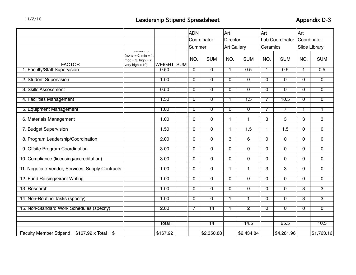|                                                     |                                                                                          |            | <b>ADN</b>        |                           | Art                       |                | Art                       |                         | Art            |                |
|-----------------------------------------------------|------------------------------------------------------------------------------------------|------------|-------------------|---------------------------|---------------------------|----------------|---------------------------|-------------------------|----------------|----------------|
|                                                     |                                                                                          |            | Coordinator       |                           | <b>Director</b>           |                | Lab Coordinator           |                         | Coordinator    |                |
|                                                     |                                                                                          |            | Summer            |                           | <b>Art Gallery</b>        |                | Ceramics                  |                         | Slide Library  |                |
| <b>FACTOR</b>                                       | <b>IVUIVIDEN</b><br>$(none = 0, min = 1,$<br>$mod = 3$ , high = 7,<br>very high $= 10$ ) | WEIGHT SUM | NO.               | <b>SUM</b>                | NO.                       | <b>SUM</b>     | NO.                       | <b>SUM</b>              | NO.            | <b>SUM</b>     |
| 1. Faculty/Staff Supervision                        |                                                                                          | 0.50       | $\overline{0}$    | $\overline{0}$            | $\overline{1}$            | 0.5            | 1.                        | 0.5                     |                | 0.5            |
| 2. Student Supervision                              |                                                                                          | 1.00       | $\overline{0}$    | $\overline{0}$            | $\overline{0}$            | $\overline{0}$ | $\overline{0}$            | $\overline{0}$          | $\overline{0}$ | $\overline{0}$ |
| 3. Skills Assessment                                |                                                                                          | 0.50       | $\overline{0}$    | $\overline{0}$            | $\overline{0}$            | $\overline{0}$ | $\overline{0}$            | $\overline{0}$          | $\overline{0}$ | $\overline{0}$ |
| 4. Facilities Management                            |                                                                                          | 1.50       | $\overline{0}$    | $\overline{0}$            | $\overline{1}$            | 1.5            | $\overline{7}$            | 10.5                    | $\overline{0}$ | $\overline{0}$ |
| 5. Equipment Management                             |                                                                                          | 1.00       | 0                 | $\overline{0}$            | $\overline{0}$            | $\overline{0}$ | 7                         | 7                       |                | 1.             |
| 6. Materials Management                             |                                                                                          | 1.00       | $\overline{0}$    | $\overline{0}$            | ₹                         | 1              | $\overline{3}$            | $\overline{3}$          | $\overline{3}$ | $\overline{3}$ |
| 7. Budget Supervision                               |                                                                                          | 1.50       | $\overline{0}$    | $\overline{\mathfrak{o}}$ | 1                         | 1.5            | 1                         | $\overline{1.5}$        | $\overline{0}$ | $\overline{0}$ |
| 8. Program Leadership/Coordination                  |                                                                                          | 2.00       | $\overline{0}$    | $\overline{0}$            | $\overline{3}$            | $\overline{6}$ | $\overline{0}$            | $\overline{0}$          | $\overline{0}$ | $\overline{0}$ |
| 9. Offsite Program Coordination                     |                                                                                          | 3.00       | $\overline{0}$    | $\overline{\mathfrak{o}}$ | $\overline{\mathfrak{o}}$ | $\overline{0}$ | $\overline{0}$            | $\overline{\mathsf{o}}$ | $\overline{0}$ | $\overline{0}$ |
| 10. Compliance (licensing/accreditation)            |                                                                                          | 3.00       | $\overline{0}$    | $\overline{0}$            | $\overline{0}$            | $\overline{0}$ | $\overline{0}$            | $\overline{0}$          | $\overline{0}$ | $\overline{0}$ |
| 11. Negotiate Vendor, Services, Supply Contracts    |                                                                                          | 1.00       | $\overline{0}$    | $\overline{0}$            | $\overline{1}$            | ┓              | $\overline{3}$            | $\overline{3}$          | $\overline{0}$ | $\overline{0}$ |
| 12. Fund Raising/Grant Writing                      |                                                                                          | 1.00       | $\overline{0}$    | $\overline{0}$            | $\overline{0}$            | $\overline{0}$ | $\overline{0}$            | $\overline{0}$          | $\overline{0}$ | $\overline{0}$ |
| 13. Research                                        |                                                                                          | 1.00       | $\overline{0}$    | $\overline{0}$            | $\overline{0}$            | $\overline{0}$ | $\overline{0}$            | $\overline{0}$          | $\overline{3}$ | $\overline{3}$ |
| 14. Non-Routine Tasks (specify)                     |                                                                                          | 1.00       | $\overline{0}$    | $\overline{0}$            | 1                         | -1             | $\overline{0}$            | $\overline{0}$          | $\overline{3}$ | $\overline{3}$ |
| 15. Non-Standard Work Schedules (specify)           |                                                                                          | 2.00       | $\overline{\tau}$ | $\overline{14}$           | $\mathbf{1}$              | $\overline{2}$ | $\overline{\mathfrak{o}}$ | $\overline{0}$          | $\overline{0}$ | $\overline{0}$ |
|                                                     |                                                                                          | Total $=$  |                   | 14                        |                           | 14.5           |                           | 25.5                    |                | 10.5           |
| Faculty Member Stipend = $$167.92 \times Total = $$ |                                                                                          | \$167.92   |                   | \$2,350.88                |                           | \$2,434.84     |                           | \$4,281.96              |                | \$1,763.16     |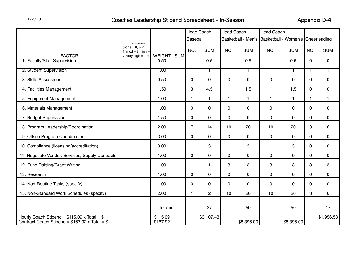## 11/2/10 **Coaches Leadership Stipend Spreadsheet - In-Season** Appendix D-4

|                                                                                                          |                                                                               |                      |            | <b>Head Coach</b> |                | <b>Head Coach</b> |                 | <b>Head Coach</b>                                    |                           |                           |                           |
|----------------------------------------------------------------------------------------------------------|-------------------------------------------------------------------------------|----------------------|------------|-------------------|----------------|-------------------|-----------------|------------------------------------------------------|---------------------------|---------------------------|---------------------------|
|                                                                                                          |                                                                               |                      |            | Baseball          |                |                   |                 | Basketball - Men's Basketball - Women's Cheerleading |                           |                           |                           |
| <b>FACTOR</b>                                                                                            | NUMBER<br>$(none = 0, min =$<br>, mod = $3$ , high =<br>7, very high $= 10$ ) | <b>WEIGHT</b>        | <b>SUM</b> | NO.               | <b>SUM</b>     | NO.               | <b>SUM</b>      | NO.                                                  | <b>SUM</b>                | NO.                       | <b>SUM</b>                |
| 1. Faculty/Staff Supervision                                                                             |                                                                               | 0.50                 |            | $\mathbf{1}$      | 0.5            | $\overline{1}$    | 0.5             | 1.                                                   | 0.5                       | $\overline{0}$            | $\overline{0}$            |
| 2. Student Supervision                                                                                   |                                                                               | 1.00                 |            | $\mathbf{1}$      | T              | T                 | T               | $\overline{1}$                                       | $\overline{1}$            | $\mathbf 1$               | $\overline{1}$            |
| 3. Skills Assessment                                                                                     |                                                                               | 0.50                 |            | $\overline{0}$    | $\overline{0}$ | $\overline{0}$    | $\overline{0}$  | $\overline{0}$                                       | $\overline{\mathfrak{o}}$ | $\overline{0}$            | $\overline{\mathfrak{o}}$ |
| 4. Facilities Management                                                                                 |                                                                               | 1.50                 |            | 3                 | 4.5            | 1                 | 1.5             | 1                                                    | 1.5                       | 0                         | $\overline{0}$            |
| 5. Equipment Management                                                                                  |                                                                               | 1.00                 |            | 1                 | $\overline{1}$ | $\mathbf{1}$      | $\overline{1}$  | 1                                                    | 1                         | 1                         | $\mathbf{1}$              |
| 6. Materials Management                                                                                  |                                                                               | 1.00                 |            | $\overline{0}$    | $\overline{0}$ | $\overline{0}$    | $\overline{0}$  | $\overline{0}$                                       | $\overline{0}$            | $\overline{\mathfrak{o}}$ | $\overline{0}$            |
| 7. Budget Supervision                                                                                    |                                                                               | 1.50                 |            | 0                 | $\overline{0}$ | $\overline{0}$    | $\overline{0}$  | $\overline{0}$                                       | $\overline{0}$            | $\overline{0}$            | $\overline{0}$            |
| 8. Program Leadership/Coordination                                                                       |                                                                               | 2.00                 |            | 7                 | 14             | 10                | $\overline{20}$ | $\overline{10}$                                      | $\overline{20}$           | $\overline{3}$            | $\overline{6}$            |
| 9. Offsite Program Coordination                                                                          |                                                                               | 3.00                 |            | $\overline{0}$    | $\overline{0}$ | $\overline{0}$    | $\overline{0}$  | $\overline{0}$                                       | $\overline{0}$            | $\overline{0}$            | $\overline{0}$            |
| 10. Compliance (licensing/accreditation)                                                                 |                                                                               | 3.00                 |            | 1                 | $\overline{3}$ | T                 | $\overline{3}$  | 1                                                    | $\overline{3}$            | $\overline{0}$            | $\overline{0}$            |
| 11. Negotiate Vendor, Services, Supply Contracts                                                         |                                                                               | 1.00                 |            | $\overline{0}$    | $\overline{0}$ | $\overline{0}$    | $\overline{0}$  | $\overline{0}$                                       | $\overline{0}$            | $\overline{0}$            | $\overline{0}$            |
| 12. Fund Raising/Grant Writing                                                                           |                                                                               | 1.00                 |            | $\mathbf{1}$      | $\overline{1}$ | 3                 | $\overline{3}$  | $\overline{3}$                                       | $\overline{3}$            | $\overline{3}$            | $\overline{3}$            |
| 13. Research                                                                                             |                                                                               | 1.00                 |            | $\overline{0}$    | $\overline{0}$ | $\overline{0}$    | $\overline{0}$  | $\overline{0}$                                       | $\overline{0}$            | $\overline{0}$            | $\overline{0}$            |
| 14. Non-Routine Tasks (specify)                                                                          |                                                                               | 1.00                 |            | $\overline{0}$    | $\overline{0}$ | $\overline{0}$    | $\overline{0}$  | $\overline{0}$                                       | $\overline{0}$            | $\overline{0}$            | $\overline{0}$            |
| 15. Non-Standard Work Schedules (specify)                                                                |                                                                               | 2.00                 |            | 1                 | $\overline{2}$ | $\overline{10}$   | $\overline{20}$ | $\overline{10}$                                      | $\overline{20}$           | $\overline{3}$            | $\overline{6}$            |
|                                                                                                          |                                                                               | Total $=$            |            |                   | 27             |                   | 50              |                                                      | 50                        |                           | $\overline{17}$           |
| Hourly Coach Stipend = $$115.09 \times Total = $$<br>Contract Coach Stipend = $$167.92 \times Total = $$ |                                                                               | \$115.09<br>\$167.92 |            |                   | \$3,107.43     |                   | \$8,396.00      |                                                      | \$8,396.00                |                           | \$1,956.53                |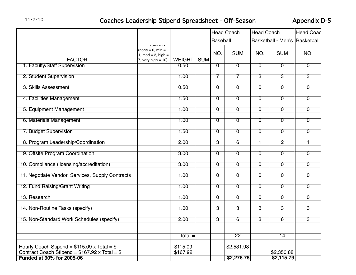# 11/2/10 Coaches Leadership Stipend Spreadsheet - Off-Season Appendix D-5

|                                                                                                          |                                                                                      |                      |            | <b>Head Coach</b> |                           | <b>Head Coach</b>             |                | <b>Head Coad</b> |
|----------------------------------------------------------------------------------------------------------|--------------------------------------------------------------------------------------|----------------------|------------|-------------------|---------------------------|-------------------------------|----------------|------------------|
|                                                                                                          |                                                                                      |                      |            | Baseball          |                           | Basketball - Men's Basketball |                |                  |
| <b>FACTOR</b>                                                                                            | <b>NUMDER</b><br>$none = 0, min =$<br>1, mod = $3$ , high =<br>7, very high $= 10$ ) | <b>WEIGHT</b>        | <b>SUM</b> | NO.               | <b>SUM</b>                | NO.                           | <b>SUM</b>     | NO.              |
| 1. Faculty/Staff Supervision                                                                             |                                                                                      | 0.50                 |            | $\overline{0}$    | $\overline{0}$            | $\overline{0}$                | $\overline{0}$ | $\overline{0}$   |
| 2. Student Supervision                                                                                   |                                                                                      | 1.00                 |            | 7                 | $\overline{7}$            | $\overline{3}$                | $\overline{3}$ | $\overline{3}$   |
| 3. Skills Assessment                                                                                     |                                                                                      | 0.50                 |            | $\overline{0}$    | $\overline{0}$            | $\overline{0}$                | $\overline{0}$ | $\overline{0}$   |
| 4. Facilities Management                                                                                 |                                                                                      | 1.50                 |            | $\overline{0}$    | $\overline{0}$            | $\overline{0}$                | $\overline{0}$ | $\overline{0}$   |
| 5. Equipment Management                                                                                  |                                                                                      | 1.00                 |            | $\overline{0}$    | $\overline{0}$            | $\overline{0}$                | $\overline{0}$ | $\overline{0}$   |
| 6. Materials Management                                                                                  |                                                                                      | 1.00                 |            | $\overline{0}$    | $\overline{0}$            | $\overline{0}$                | $\overline{0}$ | $\overline{0}$   |
| 7. Budget Supervision                                                                                    |                                                                                      | 1.50                 |            | $\overline{0}$    | $\overline{0}$            | $\overline{0}$                | $\overline{0}$ | $\overline{0}$   |
| 8. Program Leadership/Coordination                                                                       |                                                                                      | 2.00                 |            | $\overline{3}$    | $\overline{6}$            | $\overline{1}$                | $\overline{2}$ | $\overline{1}$   |
| 9. Offsite Program Coordination                                                                          |                                                                                      | 3.00                 |            | $\overline{0}$    | $\overline{0}$            | $\overline{0}$                | $\overline{0}$ | $\overline{0}$   |
| 10. Compliance (licensing/accreditation)                                                                 |                                                                                      | 3.00                 |            | $\overline{0}$    | $\overline{0}$            | $\overline{0}$                | $\overline{0}$ | $\overline{0}$   |
| 11. Negotiate Vendor, Services, Supply Contracts                                                         |                                                                                      | 1.00                 |            | $\overline{0}$    | $\overline{0}$            | $\overline{0}$                | $\overline{0}$ | $\overline{0}$   |
| 12. Fund Raising/Grant Writing                                                                           |                                                                                      | 1.00                 |            | $\overline{0}$    | $\overline{0}$            | $\overline{0}$                | $\overline{0}$ | $\overline{0}$   |
| 13. Research                                                                                             |                                                                                      | 1.00                 |            | $\overline{0}$    | $\overline{\mathfrak{o}}$ | $\overline{0}$                | $\overline{0}$ | $\overline{0}$   |
| 14. Non-Routine Tasks (specify)                                                                          |                                                                                      | 1.00                 |            | $\overline{3}$    | $\overline{3}$            | $\overline{3}$                | $\overline{3}$ | $\overline{3}$   |
| 15. Non-Standard Work Schedules (specify)                                                                |                                                                                      | 2.00                 |            | $\overline{3}$    | 6                         | $\overline{3}$                | 6              | $\overline{3}$   |
|                                                                                                          |                                                                                      | Total $=$            |            |                   | $\overline{22}$           |                               | 14             |                  |
| Hourly Coach Stipend = $$115.09 \times Total = $$<br>Contract Coach Stipend = $$167.92 \times Total = $$ |                                                                                      | \$115.09<br>\$167.92 |            |                   | \$2,531.98                |                               | \$2,350.88     |                  |
| <b>Funded at 90% for 2005-06</b>                                                                         |                                                                                      |                      |            |                   | \$2,278.78                |                               | \$2,115.79     |                  |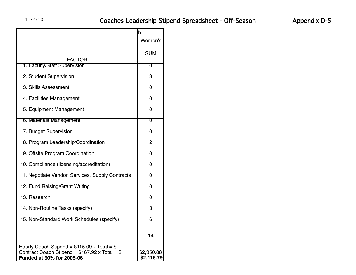|                                                                                                                                              | łh                       |
|----------------------------------------------------------------------------------------------------------------------------------------------|--------------------------|
|                                                                                                                                              | Women's                  |
| <b>FACTOR</b>                                                                                                                                | <b>SUM</b>               |
| 1. Faculty/Staff Supervision                                                                                                                 | 0                        |
| 2. Student Supervision                                                                                                                       | 3                        |
| 3. Skills Assessment                                                                                                                         | $\overline{0}$           |
| 4. Facilities Management                                                                                                                     | 0                        |
| 5. Equipment Management                                                                                                                      | 0                        |
| 6. Materials Management                                                                                                                      | 0                        |
| 7. Budget Supervision                                                                                                                        | 0                        |
| 8. Program Leadership/Coordination                                                                                                           | $\overline{2}$           |
| 9. Offsite Program Coordination                                                                                                              | 0                        |
| 10. Compliance (licensing/accreditation)                                                                                                     | 0                        |
| 11. Negotiate Vendor, Services, Supply Contracts                                                                                             | 0                        |
| 12. Fund Raising/Grant Writing                                                                                                               | 0                        |
| 13. Research                                                                                                                                 | 0                        |
| 14. Non-Routine Tasks (specify)                                                                                                              | $\overline{3}$           |
| 15. Non-Standard Work Schedules (specify)                                                                                                    | 6                        |
|                                                                                                                                              | 14                       |
| Hourly Coach Stipend = $$115.09 \times Total = $$<br>Contract Coach Stipend = $$167.92 \times Total = $$<br><b>Funded at 90% for 2005-06</b> | \$2,350.88<br>\$2,115.79 |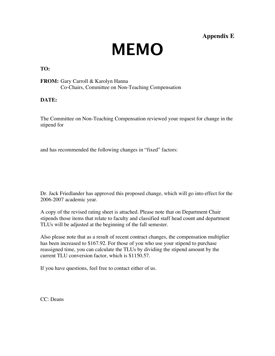**Appendix E**

**MEMO**

**TO:**

**FROM:** Gary Carroll & Karolyn Hanna Co-Chairs, Committee on Non-Teaching Compensation

**DATE:**

The Committee on Non-Teaching Compensation reviewed your request for change in the stipend for

and has recommended the following changes in "fixed" factors:

Dr. Jack Friedlander has approved this proposed change, which will go into effect for the 2006-2007 academic year.

A copy of the revised rating sheet is attached. Please note that on Department Chair stipends those items that relate to faculty and classified staff head count and department TLUs will be adjusted at the beginning of the fall semester.

Also please note that as a result of recent contract changes, the compensation multiplier has been increased to \$167.92. For those of you who use your stipend to purchase reassigned time, you can calculate the TLUs by dividing the stipend amount by the current TLU conversion factor, which is \$1150.57.

If you have questions, feel free to contact either of us.

CC: Deans